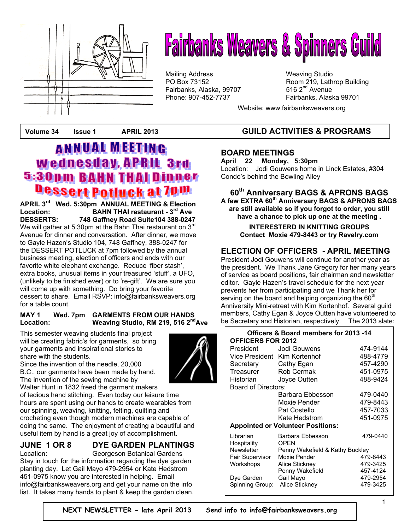

# **Fairbanks Weavers & Spinners Guild**

Mailing Address Mail in the Weaving Studio<br>
Mailing Address Manus (Weaving Studio PO Box 73152 Fairbanks, Alaska, 99707 Phone: 907-452-7737 Fairbanks, Alaska 99701

Room 219, Lathrop Building 516  $2<sup>nd</sup>$  Avenue

Website: www.fairbanksweavers.org

# **ANNUAL MEETING Wednesday, APRIL 3rd 5:30pm BAHN THAI Dinner** Dessert Potluck at 7pm

**APRIL 3rd Wed. 5:30pm ANNUAL MEETING & Election Location: BAHN THAI restaurant - 3rd Ave DESSERTS: 748 Gaffney Road Suite104 388-0247**  We will gather at 5:30pm at the Bahn Thai restaurant on  $3<sup>rd</sup>$ Avenue for dinner and conversation. After dinner, we move to Gayle Hazen's Studio 104, 748 Gaffney, 388-0247 for the DESSERT POTLUCK at 7pm followed by the annual business meeting, election of officers and ends with our favorite white elephant exchange. Reduce 'fiber stash', extra books, unusual items in your treasured 'stuff', a UFO, (unlikely to be finished ever) or to 're-gift'. We are sure you will come up with something. Do bring your favorite dessert to share. Email RSVP: info@fairbanksweavers.org for a table count.

### **MAY 1 Wed. 7pm GARMENTS FROM OUR HANDS**  Location: Weaving Studio, RM 219, 516 2<sup>nd</sup> Ave

This semester weaving students final project will be creating fabric's for garments, so bring your garments and inspirational stories to share with the students.

Since the invention of the needle, 20,000 B.C., our garments have been made by hand. The invention of the sewing machine by

Walter Hunt in 1832 freed the garment makers of tedious hand stitching. Even today our leisure time hours are spent using our hands to create wearables from our spinning, weaving, knitting, felting, quilting and crocheting even though modern machines are capable of doing the same. The enjoyment of creating a beautiful and useful item by hand is a great joy of accomplishment.

# **JUNE 1 OR 8 DYE GARDEN PLANTINGS**

Location: Georgeson Botanical Gardens Stay in touch for the information regarding the dye garden planting day. Let Gail Mayo 479-2954 or Kate Hedstrom 451-0975 know you are interested in helping. Email info@fairbanksweavers.org and get your name on the info list. It takes many hands to plant & keep the garden clean.

# **Volume 34 Issue 1 APRIL 2013 GUILD ACTIVITIES & PROGRAMS**

### **BOARD MEETINGS**

**April 22 Monday, 5:30pm**  Location: Jodi Gouwens home in Linck Estates, #304 Condo's behind the Bowling Alley

### **60th Anniversary BAGS & APRONS BAGS A few EXTRA 60th Anniversary BAGS & APRONS BAGS**

**are still available so if you forgot to order, you still have a chance to pick up one at the meeting .** 

**INTERESTERD IN KNITTING GROUPS Contact Moxie 479-8443 or try Ravelry.com**

### **ELECTION OF OFFICERS - APRIL MEETING**

President Jodi Gouwens will continue for another year as the president. We Thank Jane Gregory for her many years of service as board positions, fair chairman and newsletter editor. Gayle Hazen's travel schedule for the next year prevents her from participating and we Thank her for serving on the board and helping organizing the  $60<sup>th</sup>$ Anniversity Mini-retreat with Kim Kortenhof. Several guild members, Cathy Egan & Joyce Outten have volunteered to be Secretary and Historian, respectively. The 2013 slate:

| Officers & Board members for 2013 -14    |                                 |          |
|------------------------------------------|---------------------------------|----------|
| <b>OFFICERS FOR 2012</b>                 |                                 |          |
| President                                | Jodi Gouwens                    | 474-9144 |
|                                          | Vice President Kim Kortenhof    | 488-4779 |
| Secretary                                | Cathy Egan                      | 457-4290 |
| Treasurer                                | <b>Rob Cermak</b>               | 451-0975 |
| Historian                                | Joyce Outten                    | 488-9424 |
| Board of Directors:                      |                                 |          |
|                                          | Barbara Ebbesson                | 479-0440 |
|                                          | Moxie Pender                    | 479-8443 |
|                                          | Pat Costello                    | 457-7033 |
|                                          | Kate Hedstrom                   | 451-0975 |
| <b>Appointed or Volunteer Positions:</b> |                                 |          |
| Librarian                                | Barbara Ebbesson                | 479-0440 |
| Hospitality                              | <b>OPEN</b>                     |          |
| <b>Newsletter</b>                        | Penny Wakefield & Kathy Buckley |          |
| Fair Supervisor                          | Moxie Pender                    | 479-8443 |
| Workshops                                | Alice Stickney                  | 479-3425 |
|                                          | Penny Wakefield                 | 457-4124 |
| Dye Garden                               | Gail Mayo                       | 479-2954 |
| Spinning Group:                          | Alice Stickney                  | 479-3425 |

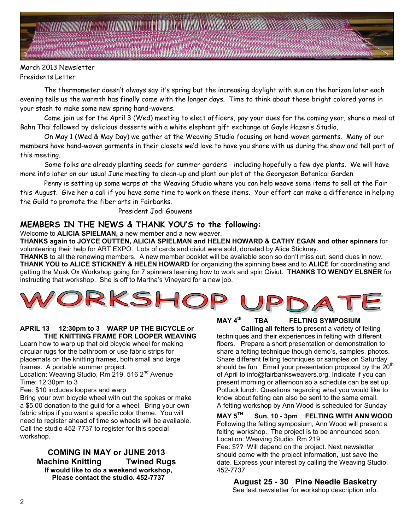### March 2013 Newsletter Presidents Letter

 The thermometer doesn't always say it's spring but the increasing daylight with sun on the horizon later each evening tells us the warmth has finally come with the longer days. Time to think about those bright colored yarns in your stash to make some new spring hand-wovens.

 Come join us for the April 3 (Wed) meeting to elect officers, pay your dues for the coming year, share a meal at Bahn Thai followed by delicious desserts with a white elephant gift exchange at Gayle Hazen's Studio.

 On May 1 (Wed & May Day) we gather at the Weaving Studio focusing on hand-woven garments. Many of our members have hand-woven garments in their closets we'd love to have you share with us during the show and tell part of this meeting.

 Some folks are already planting seeds for summer gardens - including hopefully a few dye plants. We will have more info later on our usual June meeting to clean-up and plant our plot at the Georgeson Botanical Garden.

 Penny is setting up some warps at the Weaving Studio where you can help weave some items to sell at the Fair this August. Give her a call if you have some time to work on these items. Your effort can make a difference in helping the Guild to promote the fiber arts in Fairbanks.

President Jodi Gouwens

### **MEMBERS IN THE NEWS & THANK YOU'S to the following:**

Welcome to **ALICIA SPIELMAN,** a new member and a new weaver.

**THANKS again to JOYCE OUTTEN, ALICIA SPIELMAN and HELEN HOWARD & CATHY EGAN and other spinners** for volunteering their help for ART EXPO. Lots of cards and qiviut were sold, donated by Alice Stickney.

**THANKS** to all the renewing members. A new member booklet will be available soon so don't miss out, send dues in now. **THANK YOU to ALICE STICKNEY & HELEN HOWARD** for organizing the spinning bees and to **ALICE** for coordinating and getting the Musk Ox Workshop going for 7 spinners learning how to work and spin Qiviut. **THANKS TO WENDY ELSNER** for instructing that workshop. She is off to Martha's Vineyard for a new job.

### **APRIL 13 12:30pm to 3 WARP UP THE BICYCLE or THE KNITTING FRAME FOR LOOPER WEAVING**

Learn how to warp up that old bicycle wheel for making circular rugs for the bathroom or use fabric strips for placemats on the knitting frames, both small and large frames. A portable summer project.

Location: Weaving Studio, Rm 219, 516 2<sup>nd</sup> Avenue Time: 12:30pm to 3

Fee: \$10 includes loopers and warp

Bring your own bicycle wheel with out the spokes or make a \$5.00 donation to the guild for a wheel. Bring your own fabric strips if you want a specific color theme. You will need to register ahead of time so wheels will be available. Call the studio 452-7737 to register for this special workshop.

**COMING IN MAY or JUNE 2013 Machine Knitting Twined Rugs If would like to do a weekend workshop, Please contact the studio. 452-7737** 

**MAY 4th TBA FELTING SYMPOSIUM** 

**Calling all felters** to present a variety of felting techniques and their experiences in felting with different fibers. Prepare a short presentation or demonstration to share a felting technique though demo's, samples, photos. Share different felting techniques or samples on Saturday should be fun. Email your presentation proposal by the  $20<sup>th</sup>$ of April to info@fairbanksweavers.org. Indicate if you can present morning or afternoon so a schedule can be set up. Potluck lunch. Questions regarding what you would like to know about felting can also be sent to the same email. A felting workshop by Ann Wood is scheduled for Sunday

### **MAY 5TH Sun. 10 - 3pm FELTING WITH ANN WOOD**  Following the felting symposium, Ann Wood will present a felting workshop. The project is to be announced soon. Location: Weaving Studio, Rm 219

Fee: \$?? Will depend on the project. Next newsletter should come with the project information, just save the date. Express your interest by calling the Weaving Studio, 452-7737

### **August 25 - 30 Pine Needle Basketry** See last newsletter for workshop description info.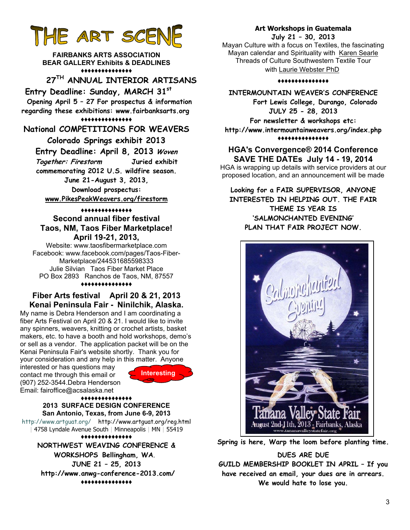# **THE ART SCENE**

**FAIRBANKS ARTS ASSOCIATION BEAR GALLERY Exhibits & DEADLINES ♦♦♦♦♦♦♦♦♦♦♦♦♦♦♦**

# **27TH ANNUAL INTERIOR ARTISANS**

 **Entry Deadline: Sunday, MARCH 31st**

 **Opening April 5 – 27 For prospectus & information regarding these exhibitions: www.fairbanksarts.org ♦♦♦♦♦♦♦♦♦♦♦♦♦♦♦**

**National COMPETITIONS FOR WEAVERS** 

### **Colorado Springs exhibit 2013**

**Entry Deadline: April 8, 2013 Woven** 

**Together: Firestorm Juried exhibit commemorating 2012 U.S. wildfire season.** 

**June 21-August 3, 2013, Download prospectus:** 

**www.PikesPeakWeavers.org/firestorm**

### **♦♦♦♦♦♦♦♦♦♦♦♦♦♦♦ Second annual fiber festival Taos, NM, Taos Fiber Marketplace! April 19-21, 2013,**

Website: www.taosfibermarketplace.com Facebook: www.facebook.com/pages/Taos-Fiber-Marketplace/244531685598333 Julie Silvian Taos Fiber Market Place PO Box 2893 Ranchos de Taos, NM, 87557

### **♦♦♦♦♦♦♦♦♦♦♦♦♦♦♦**

### **Fiber Arts festival April 20 & 21, 2013 Kenai Peninsula Fair - Ninilchik, Alaska.**

My name is Debra Henderson and I am coordinating a fiber Arts Festival on April 20 & 21. I would like to invite any spinners, weavers, knitting or crochet artists, basket makers, etc. to have a booth and hold workshops, demo's or sell as a vendor. The application packet will be on the Kenai Peninsula Fair's website shortly. Thank you for your consideration and any help in this matter. Anyone

interested or has questions may contact me through this email or (907) 252-3544.Debra Henderson Email: fairoffice@acsalaska.net



#### **♦♦♦♦♦♦♦♦♦♦♦♦♦♦♦ 2013 SURFACE DESIGN CONFERENCE San Antonio, Texas, from June 6-9, 2013**

http://www.artguat.org/ http://www.artguat.org/reg.html | 4758 Lyndale Avenue South | Minneapolis | MN | 55419

**♦♦♦♦♦♦♦♦♦♦♦♦♦♦♦ NORTHWEST WEAVING CONFERENCE & WORKSHOPS Bellingham, WA**. **JUNE 21 – 25, 2013 http://www.anwg-conference-2013.com/ ♦♦♦♦♦♦♦♦♦♦♦♦♦♦♦**

### **Art Workshops in Guatemala July 21 – 30, 2013**

Mayan Culture with a focus on Textiles, the fascinating Mayan calendar and Spirituality with Karen Searle Threads of Culture Southwestern Textile Tour with Laurie Webster PhD

### **♦♦♦♦♦♦♦♦♦♦♦♦♦♦♦**

**INTERMOUNTAIN WEAVER'S CONFERENCE Fort Lewis College, Durango, Colorado JULY 25 - 28, 2013 For newsletter & workshops etc: http://www.intermountainweavers.org/index.php ♦♦♦♦♦♦♦♦♦♦♦♦♦♦♦**

### **HGA's Convergence® 2014 Conference SAVE THE DATEs July 14 - 19, 2014**

HGA is wrapping up details with service providers at our proposed location, and an announcement will be made

**Looking for a FAIR SUPERVISOR, ANYONE INTERESTED IN HELPING OUT. THE FAIR THEME IS YEAR IS 'SALMONCHANTED EVENING' PLAN THAT FAIR PROJECT NOW.** 



**Spring is here, Warp the loom before planting time.** 

### **DUES ARE DUE**

**GUILD MEMBERSHIP BOOKLET IN APRIL – If you have received an email, your dues are in arrears. We would hate to lose you.**